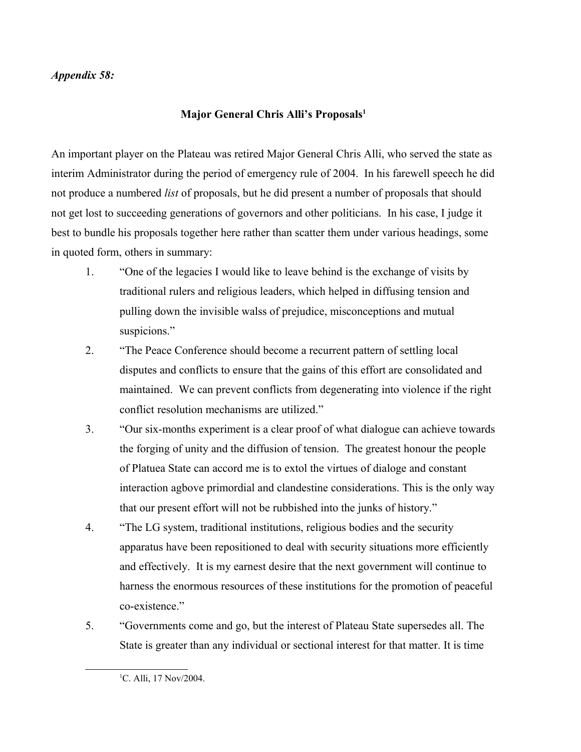## *Appendix 58:*

## **Major General Chris Alli's Proposals[1](#page-0-0)**

An important player on the Plateau was retired Major General Chris Alli, who served the state as interim Administrator during the period of emergency rule of 2004. In his farewell speech he did not produce a numbered *list* of proposals, but he did present a number of proposals that should not get lost to succeeding generations of governors and other politicians. In his case, I judge it best to bundle his proposals together here rather than scatter them under various headings, some in quoted form, others in summary:

- 1. "One of the legacies I would like to leave behind is the exchange of visits by traditional rulers and religious leaders, which helped in diffusing tension and pulling down the invisible walss of prejudice, misconceptions and mutual suspicions."
- 2. "The Peace Conference should become a recurrent pattern of settling local disputes and conflicts to ensure that the gains of this effort are consolidated and maintained. We can prevent conflicts from degenerating into violence if the right conflict resolution mechanisms are utilized."
- 3. "Our six-months experiment is a clear proof of what dialogue can achieve towards the forging of unity and the diffusion of tension. The greatest honour the people of Platuea State can accord me is to extol the virtues of dialoge and constant interaction agbove primordial and clandestine considerations. This is the only way that our present effort will not be rubbished into the junks of history."
- 4. "The LG system, traditional institutions, religious bodies and the security apparatus have been repositioned to deal with security situations more efficiently and effectively. It is my earnest desire that the next government will continue to harness the enormous resources of these institutions for the promotion of peaceful co-existence."
- 5. "Governments come and go, but the interest of Plateau State supersedes all. The State is greater than any individual or sectional interest for that matter. It is time

<span id="page-0-0"></span><sup>&</sup>lt;sup>1</sup>C. Alli, 17 Nov/2004.